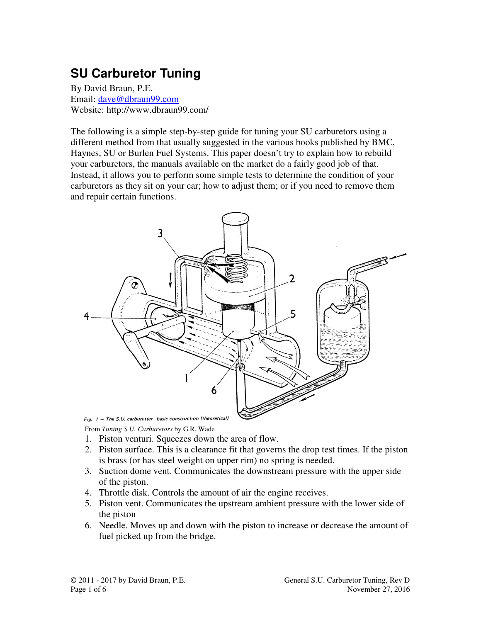# **SU Carburetor Tuning**

By David Braun, P.E. Email: dave@dbraun99.com Website: http://www.dbraun99.com/

The following is a simple step-by-step guide for tuning your SU carburetors using a different method from that usually suggested in the various books published by BMC, Haynes, SU or Burlen Fuel Systems. This paper doesn't try to explain how to rebuild your carburetors, the manuals available on the market do a fairly good job of that. Instead, it allows you to perform some simple tests to determine the condition of your carburetors as they sit on your car; how to adjust them; or if you need to remove them and repair certain functions.



From *Tuning S.U. Carburetors* by G.R. Wade

- 1. Piston venturi. Squeezes down the area of flow.
- 2. Piston surface. This is a clearance fit that governs the drop test times. If the piston is brass (or has steel weight on upper rim) no spring is needed.
- 3. Suction dome vent. Communicates the downstream pressure with the upper side of the piston.
- 4. Throttle disk. Controls the amount of air the engine receives.
- 5. Piston vent. Communicates the upstream ambient pressure with the lower side of the piston
- 6. Needle. Moves up and down with the piston to increase or decrease the amount of fuel picked up from the bridge.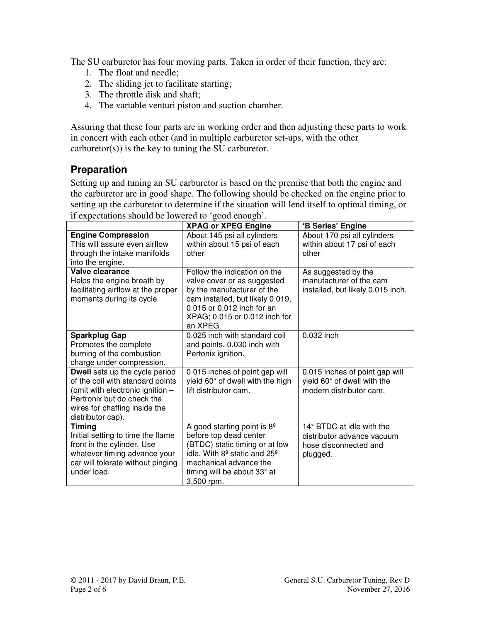The SU carburetor has four moving parts. Taken in order of their function, they are:

- 1. The float and needle;
- 2. The sliding jet to facilitate starting;
- 3. The throttle disk and shaft;
- 4. The variable venturi piston and suction chamber.

Assuring that these four parts are in working order and then adjusting these parts to work in concert with each other (and in multiple carburetor set-ups, with the other carburetor(s)) is the key to tuning the SU carburetor.

#### **Preparation**

Setting up and tuning an SU carburetor is based on the premise that both the engine and the carburetor are in good shape. The following should be checked on the engine prior to setting up the carburetor to determine if the situation will lend itself to optimal timing, or if expectations should be lowered to 'good enough'.

|                                                                                                                                                                                                   | <b>XPAG or XPEG Engine</b>                                                                                                                                                                                                      | 'B Series' Engine                                                                            |
|---------------------------------------------------------------------------------------------------------------------------------------------------------------------------------------------------|---------------------------------------------------------------------------------------------------------------------------------------------------------------------------------------------------------------------------------|----------------------------------------------------------------------------------------------|
| <b>Engine Compression</b><br>This will assure even airflow                                                                                                                                        | About 145 psi all cylinders<br>within about 15 psi of each                                                                                                                                                                      | About 170 psi all cylinders<br>within about 17 psi of each                                   |
| through the intake manifolds<br>into the engine.                                                                                                                                                  | other                                                                                                                                                                                                                           | other                                                                                        |
| Valve clearance<br>Helps the engine breath by<br>facilitating airflow at the proper<br>moments during its cycle.                                                                                  | Follow the indication on the<br>valve cover or as suggested<br>by the manufacturer of the<br>cam installed, but likely 0.019,<br>0.015 or 0.012 inch for an<br>XPAG; 0.015 or 0.012 inch for<br>an XPEG                         | As suggested by the<br>manufacturer of the cam<br>installed, but likely 0.015 inch.          |
| <b>Sparkplug Gap</b><br>Promotes the complete<br>burning of the combustion<br>charge under compression.                                                                                           | 0.025 inch with standard coil<br>and points. 0.030 inch with<br>Pertonix ignition.                                                                                                                                              | 0.032 inch                                                                                   |
| <b>Dwell</b> sets up the cycle period<br>of the coil with standard points<br>(omit with electronic ignition -<br>Pertronix but do check the<br>wires for chaffing inside the<br>distributor cap). | 0.015 inches of point gap will<br>yield 60° of dwell with the high<br>lift distributor cam.                                                                                                                                     | 0.015 inches of point gap will<br>yield 60° of dwell with the<br>modern distributor cam.     |
| <b>Timing</b><br>Initial setting to time the flame<br>front in the cylinder. Use<br>whatever timing advance your<br>car will tolerate without pinging<br>under load.                              | A good starting point is $8^{\circ}$<br>before top dead center<br>(BTDC) static timing or at low<br>idle. With 8 <sup>°</sup> static and 25 <sup>°</sup><br>mechanical advance the<br>timing will be about 33° at<br>3,500 rpm. | 14° BTDC at idle with the<br>distributor advance vacuum<br>hose disconnected and<br>plugged. |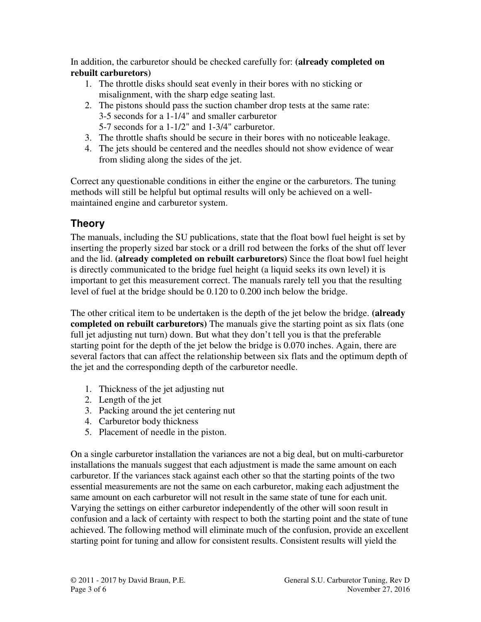In addition, the carburetor should be checked carefully for: **(already completed on rebuilt carburetors)**

- 1. The throttle disks should seat evenly in their bores with no sticking or misalignment, with the sharp edge seating last.
- 2. The pistons should pass the suction chamber drop tests at the same rate: 3-5 seconds for a 1-1/4" and smaller carburetor 5-7 seconds for a 1-1/2" and 1-3/4" carburetor.
- 3. The throttle shafts should be secure in their bores with no noticeable leakage.
- 4. The jets should be centered and the needles should not show evidence of wear from sliding along the sides of the jet.

Correct any questionable conditions in either the engine or the carburetors. The tuning methods will still be helpful but optimal results will only be achieved on a wellmaintained engine and carburetor system.

### **Theory**

The manuals, including the SU publications, state that the float bowl fuel height is set by inserting the properly sized bar stock or a drill rod between the forks of the shut off lever and the lid. **(already completed on rebuilt carburetors)** Since the float bowl fuel height is directly communicated to the bridge fuel height (a liquid seeks its own level) it is important to get this measurement correct. The manuals rarely tell you that the resulting level of fuel at the bridge should be 0.120 to 0.200 inch below the bridge.

The other critical item to be undertaken is the depth of the jet below the bridge. **(already completed on rebuilt carburetors)** The manuals give the starting point as six flats (one full jet adjusting nut turn) down. But what they don't tell you is that the preferable starting point for the depth of the jet below the bridge is 0.070 inches. Again, there are several factors that can affect the relationship between six flats and the optimum depth of the jet and the corresponding depth of the carburetor needle.

- 1. Thickness of the jet adjusting nut
- 2. Length of the jet
- 3. Packing around the jet centering nut
- 4. Carburetor body thickness
- 5. Placement of needle in the piston.

On a single carburetor installation the variances are not a big deal, but on multi-carburetor installations the manuals suggest that each adjustment is made the same amount on each carburetor. If the variances stack against each other so that the starting points of the two essential measurements are not the same on each carburetor, making each adjustment the same amount on each carburetor will not result in the same state of tune for each unit. Varying the settings on either carburetor independently of the other will soon result in confusion and a lack of certainty with respect to both the starting point and the state of tune achieved. The following method will eliminate much of the confusion, provide an excellent starting point for tuning and allow for consistent results. Consistent results will yield the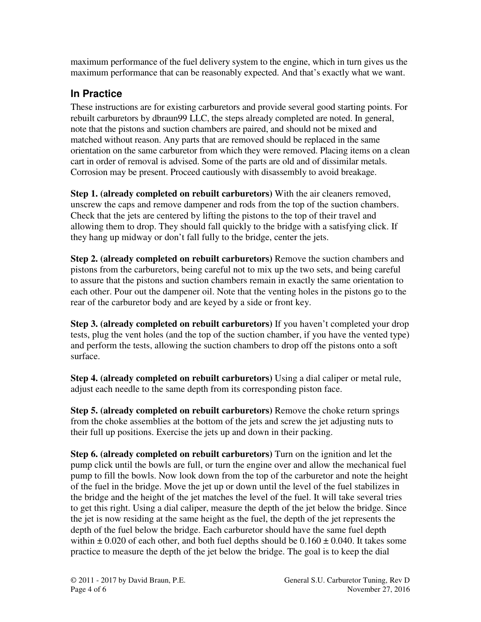maximum performance of the fuel delivery system to the engine, which in turn gives us the maximum performance that can be reasonably expected. And that's exactly what we want.

## **In Practice**

These instructions are for existing carburetors and provide several good starting points. For rebuilt carburetors by dbraun99 LLC, the steps already completed are noted. In general, note that the pistons and suction chambers are paired, and should not be mixed and matched without reason. Any parts that are removed should be replaced in the same orientation on the same carburetor from which they were removed. Placing items on a clean cart in order of removal is advised. Some of the parts are old and of dissimilar metals. Corrosion may be present. Proceed cautiously with disassembly to avoid breakage.

**Step 1. (already completed on rebuilt carburetors)** With the air cleaners removed, unscrew the caps and remove dampener and rods from the top of the suction chambers. Check that the jets are centered by lifting the pistons to the top of their travel and allowing them to drop. They should fall quickly to the bridge with a satisfying click. If they hang up midway or don't fall fully to the bridge, center the jets.

**Step 2. (already completed on rebuilt carburetors)** Remove the suction chambers and pistons from the carburetors, being careful not to mix up the two sets, and being careful to assure that the pistons and suction chambers remain in exactly the same orientation to each other. Pour out the dampener oil. Note that the venting holes in the pistons go to the rear of the carburetor body and are keyed by a side or front key.

**Step 3. (already completed on rebuilt carburetors)** If you haven't completed your drop tests, plug the vent holes (and the top of the suction chamber, if you have the vented type) and perform the tests, allowing the suction chambers to drop off the pistons onto a soft surface.

**Step 4. (already completed on rebuilt carburetors)** Using a dial caliper or metal rule, adjust each needle to the same depth from its corresponding piston face.

**Step 5. (already completed on rebuilt carburetors)** Remove the choke return springs from the choke assemblies at the bottom of the jets and screw the jet adjusting nuts to their full up positions. Exercise the jets up and down in their packing.

**Step 6. (already completed on rebuilt carburetors)** Turn on the ignition and let the pump click until the bowls are full, or turn the engine over and allow the mechanical fuel pump to fill the bowls. Now look down from the top of the carburetor and note the height of the fuel in the bridge. Move the jet up or down until the level of the fuel stabilizes in the bridge and the height of the jet matches the level of the fuel. It will take several tries to get this right. Using a dial caliper, measure the depth of the jet below the bridge. Since the jet is now residing at the same height as the fuel, the depth of the jet represents the depth of the fuel below the bridge. Each carburetor should have the same fuel depth within  $\pm$  0.020 of each other, and both fuel depths should be 0.160  $\pm$  0.040. It takes some practice to measure the depth of the jet below the bridge. The goal is to keep the dial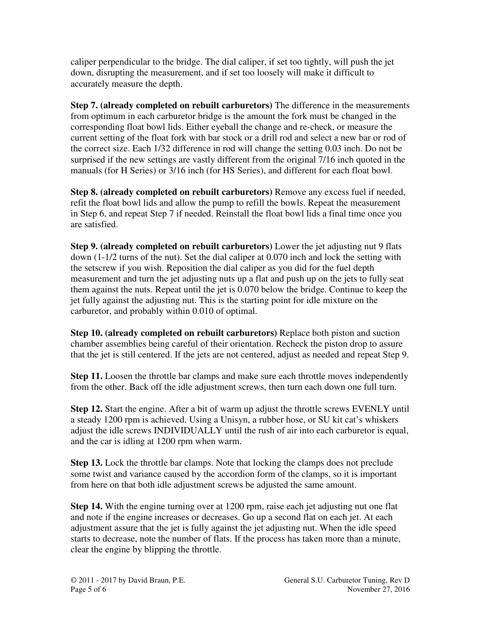caliper perpendicular to the bridge. The dial caliper, if set too tightly, will push the jet down, disrupting the measurement, and if set too loosely will make it difficult to accurately measure the depth.

**Step 7. (already completed on rebuilt carburetors)** The difference in the measurements from optimum in each carburetor bridge is the amount the fork must be changed in the corresponding float bowl lids. Either eyeball the change and re-check, or measure the current setting of the float fork with bar stock or a drill rod and select a new bar or rod of the correct size. Each 1/32 difference in rod will change the setting 0.03 inch. Do not be surprised if the new settings are vastly different from the original 7/16 inch quoted in the manuals (for H Series) or 3/16 inch (for HS Series), and different for each float bowl.

**Step 8. (already completed on rebuilt carburetors)** Remove any excess fuel if needed, refit the float bowl lids and allow the pump to refill the bowls. Repeat the measurement in Step 6, and repeat Step 7 if needed. Reinstall the float bowl lids a final time once you are satisfied.

**Step 9. (already completed on rebuilt carburetors)** Lower the jet adjusting nut 9 flats down (1-1/2 turns of the nut). Set the dial caliper at 0.070 inch and lock the setting with the setscrew if you wish. Reposition the dial caliper as you did for the fuel depth measurement and turn the jet adjusting nuts up a flat and push up on the jets to fully seat them against the nuts. Repeat until the jet is 0.070 below the bridge. Continue to keep the jet fully against the adjusting nut. This is the starting point for idle mixture on the carburetor, and probably within 0.010 of optimal.

**Step 10. (already completed on rebuilt carburetors)** Replace both piston and suction chamber assemblies being careful of their orientation. Recheck the piston drop to assure that the jet is still centered. If the jets are not centered, adjust as needed and repeat Step 9.

**Step 11.** Loosen the throttle bar clamps and make sure each throttle moves independently from the other. Back off the idle adjustment screws, then turn each down one full turn.

**Step 12.** Start the engine. After a bit of warm up adjust the throttle screws EVENLY until a steady 1200 rpm is achieved. Using a Unisyn, a rubber hose, or SU kit cat's whiskers adjust the idle screws INDIVIDUALLY until the rush of air into each carburetor is equal, and the car is idling at 1200 rpm when warm.

**Step 13.** Lock the throttle bar clamps. Note that locking the clamps does not preclude some twist and variance caused by the accordion form of the clamps, so it is important from here on that both idle adjustment screws be adjusted the same amount.

**Step 14.** With the engine turning over at 1200 rpm, raise each jet adjusting nut one flat and note if the engine increases or decreases. Go up a second flat on each jet. At each adjustment assure that the jet is fully against the jet adjusting nut. When the idle speed starts to decrease, note the number of flats. If the process has taken more than a minute, clear the engine by blipping the throttle.